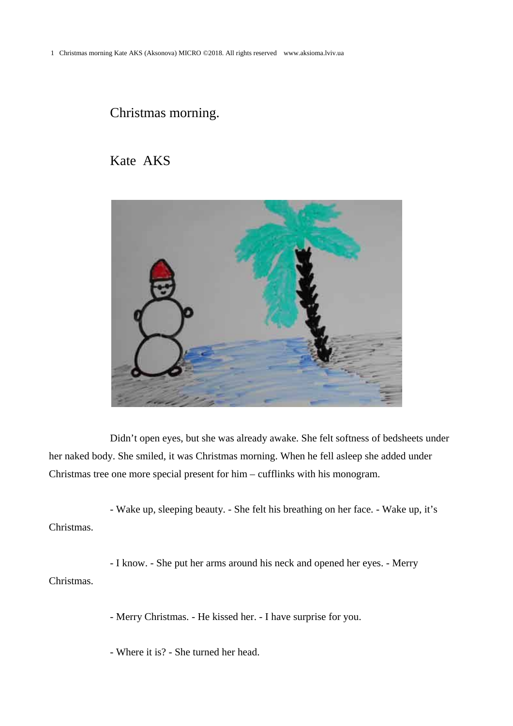## Christmas morning.

## Kate AKS



Didn't open eyes, but she was already awake. She felt softness of bedsheets under her naked body. She smiled, it was Christmas morning. When he fell asleep she added under Christmas tree one more special present for him – cufflinks with his monogram.

- Wake up, sleeping beauty. - She felt his breathing on her face. - Wake up, it's Christmas.

- I know. - She put her arms around his neck and opened her eyes. - Merry Christmas.

- Merry Christmas. - He kissed her. - I have surprise for you.

- Where it is? - She turned her head.